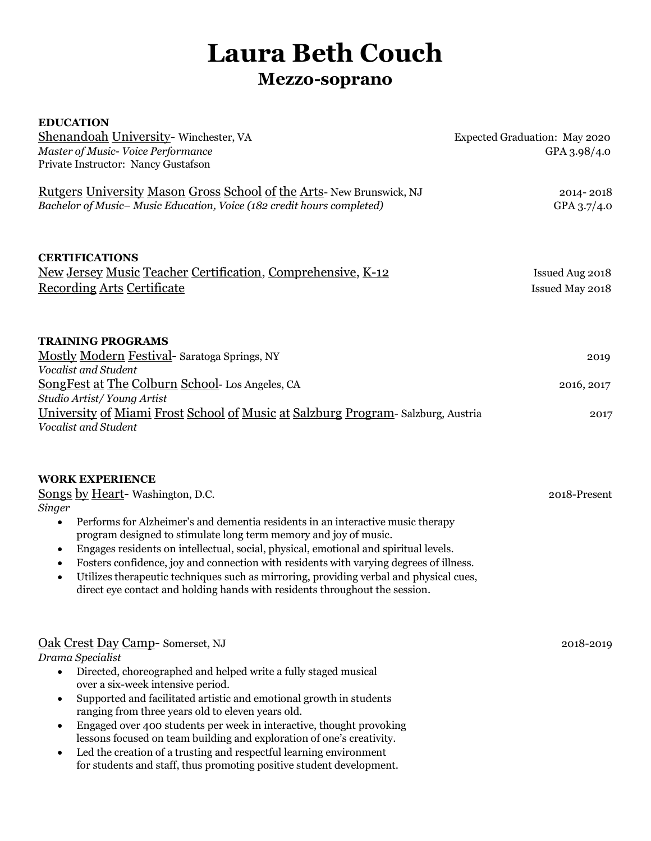# **Laura Beth Couch**

# **Mezzo-soprano**

| <b>EDUCATION</b>                                                                                                                                                                                                                                                                                                                                                                                                                                                                                                                                                                                                                                |                               |
|-------------------------------------------------------------------------------------------------------------------------------------------------------------------------------------------------------------------------------------------------------------------------------------------------------------------------------------------------------------------------------------------------------------------------------------------------------------------------------------------------------------------------------------------------------------------------------------------------------------------------------------------------|-------------------------------|
| Shenandoah University- Winchester, VA                                                                                                                                                                                                                                                                                                                                                                                                                                                                                                                                                                                                           | Expected Graduation: May 2020 |
| Master of Music-Voice Performance                                                                                                                                                                                                                                                                                                                                                                                                                                                                                                                                                                                                               | GPA 3.98/4.0                  |
| Private Instructor: Nancy Gustafson                                                                                                                                                                                                                                                                                                                                                                                                                                                                                                                                                                                                             |                               |
| <u>Rutgers University Mason Gross School of the Arts-New Brunswick, NJ</u>                                                                                                                                                                                                                                                                                                                                                                                                                                                                                                                                                                      | 2014-2018                     |
| Bachelor of Music-Music Education, Voice (182 credit hours completed)                                                                                                                                                                                                                                                                                                                                                                                                                                                                                                                                                                           | GPA 3.7/4.0                   |
|                                                                                                                                                                                                                                                                                                                                                                                                                                                                                                                                                                                                                                                 |                               |
| <b>CERTIFICATIONS</b>                                                                                                                                                                                                                                                                                                                                                                                                                                                                                                                                                                                                                           |                               |
| New Jersey Music Teacher Certification, Comprehensive, K-12                                                                                                                                                                                                                                                                                                                                                                                                                                                                                                                                                                                     | Issued Aug 2018               |
| <b>Recording Arts Certificate</b>                                                                                                                                                                                                                                                                                                                                                                                                                                                                                                                                                                                                               | Issued May 2018               |
|                                                                                                                                                                                                                                                                                                                                                                                                                                                                                                                                                                                                                                                 |                               |
| <b>TRAINING PROGRAMS</b>                                                                                                                                                                                                                                                                                                                                                                                                                                                                                                                                                                                                                        |                               |
| Mostly Modern Festival- Saratoga Springs, NY                                                                                                                                                                                                                                                                                                                                                                                                                                                                                                                                                                                                    | 2019                          |
| Vocalist and Student                                                                                                                                                                                                                                                                                                                                                                                                                                                                                                                                                                                                                            |                               |
| SongFest at The Colburn School- Los Angeles, CA<br>Studio Artist/Young Artist                                                                                                                                                                                                                                                                                                                                                                                                                                                                                                                                                                   | 2016, 2017                    |
| University of Miami Frost School of Music at Salzburg Program-Salzburg, Austria                                                                                                                                                                                                                                                                                                                                                                                                                                                                                                                                                                 |                               |
| Vocalist and Student                                                                                                                                                                                                                                                                                                                                                                                                                                                                                                                                                                                                                            | 2017                          |
| <b>WORK EXPERIENCE</b><br><b>Songs by Heart-Washington, D.C.</b><br><b>Singer</b><br>Performs for Alzheimer's and dementia residents in an interactive music therapy<br>$\bullet$<br>program designed to stimulate long term memory and joy of music.<br>Engages residents on intellectual, social, physical, emotional and spiritual levels.<br>٠<br>Fosters confidence, joy and connection with residents with varying degrees of illness.<br>$\bullet$<br>Utilizes therapeutic techniques such as mirroring, providing verbal and physical cues,<br>$\bullet$<br>direct eye contact and holding hands with residents throughout the session. | 2018-Present                  |
| Oak Crest Day Camp-Somerset, NJ<br>Drama Specialist<br>Directed, choreographed and helped write a fully staged musical<br>$\bullet$<br>over a six-week intensive period.<br>Supported and facilitated artistic and emotional growth in students<br>$\bullet$<br>ranging from three years old to eleven years old.<br>Engaged over 400 students per week in interactive, thought provoking<br>$\bullet$<br>lessons focused on team building and exploration of one's creativity.<br>Led the creation of a trusting and respectful learning environment<br>for students and staff, thus promoting positive student development.                   | 2018-2019                     |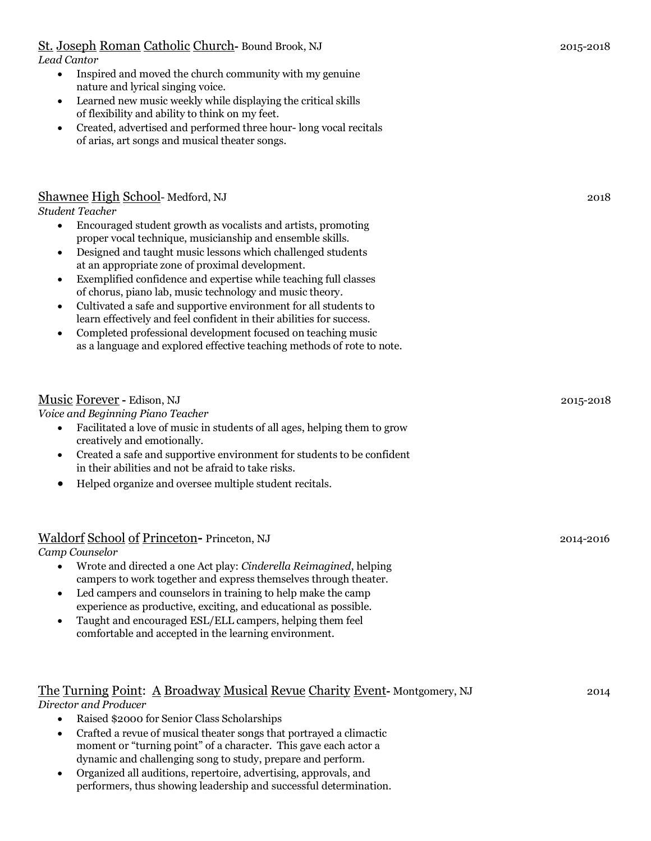| St. Joseph Roman Catholic Church-Bound Brook, NJ                              | 2015-2018 |
|-------------------------------------------------------------------------------|-----------|
| Lead Cantor                                                                   |           |
| Inspired and moved the church community with my genuine                       |           |
| nature and lyrical singing voice.                                             |           |
| $\alpha$ as a real perturbative property while displaying the critical skills |           |

- Learned new music weekly while displaying the critical skills of flexibility and ability to think on my feet.
- Created, advertised and performed three hour- long vocal recitals of arias, art songs and musical theater songs.

## Shawnee High School- Medford, NJ 2018

*Student Teacher*

- Encouraged student growth as vocalists and artists, promoting proper vocal technique, musicianship and ensemble skills.
- Designed and taught music lessons which challenged students at an appropriate zone of proximal development.
- Exemplified confidence and expertise while teaching full classes of chorus, piano lab, music technology and music theory.
- Cultivated a safe and supportive environment for all students to learn effectively and feel confident in their abilities for success.
- Completed professional development focused on teaching music as a language and explored effective teaching methods of rote to note.

# Music Forever **-** Edison, NJ2015-2018 *Voice and Beginning Piano Teacher* • Facilitated a love of music in students of all ages, helping them to grow creatively and emotionally. • Created a safe and supportive environment for students to be confident in their abilities and not be afraid to take risks. • Helped organize and oversee multiple student recitals.

# Waldorf School of Princeton**-** Princeton, NJ2014-2016

*Camp Counselor* 

- Wrote and directed a one Act play: *Cinderella Reimagined*, helping campers to work together and express themselves through theater.
- Led campers and counselors in training to help make the camp experience as productive, exciting, and educational as possible.
- Taught and encouraged ESL/ELL campers, helping them feel comfortable and accepted in the learning environment.

# The Turning Point: A Broadway Musical Revue Charity Event**-** Montgomery, NJ 2014

*Director and Producer*

- Raised \$2000 for Senior Class Scholarships
- Crafted a revue of musical theater songs that portrayed a climactic moment or "turning point" of a character. This gave each actor a dynamic and challenging song to study, prepare and perform.
- Organized all auditions, repertoire, advertising, approvals, and performers, thus showing leadership and successful determination.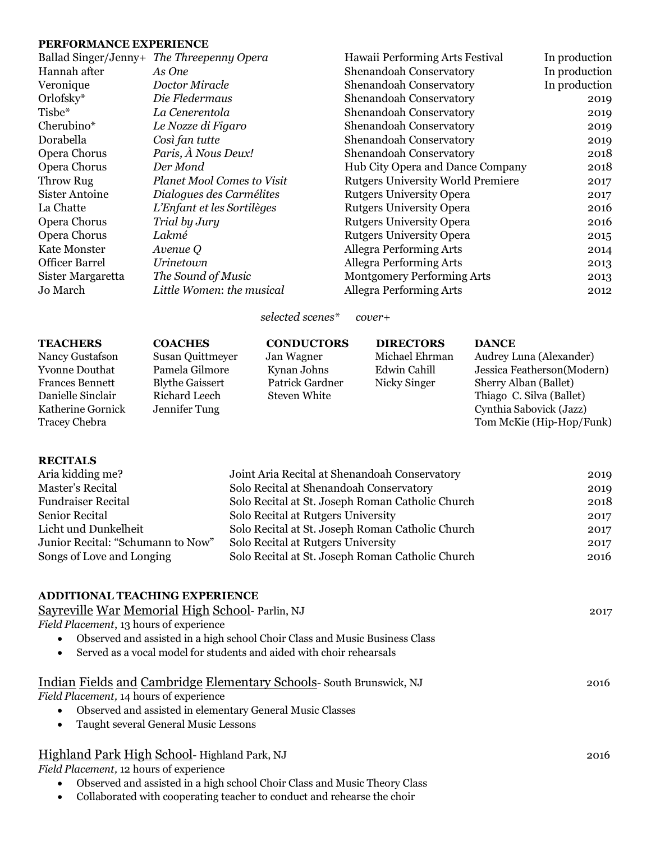#### **PERFORMANCE EXPERIENCE**

| Ballad Singer/Jenny+ The Threepenny Opera | Hawaii Performing Arts Festival          | In production |
|-------------------------------------------|------------------------------------------|---------------|
| As One                                    | Shenandoah Conservatory                  | In production |
| Doctor Miracle                            | Shenandoah Conservatory                  | In production |
| Die Fledermaus                            | Shenandoah Conservatory                  | 2019          |
| La Cenerentola                            | Shenandoah Conservatory                  | 2019          |
| Le Nozze di Figaro                        | Shenandoah Conservatory                  | 2019          |
| Così fan tutte                            | Shenandoah Conservatory                  | 2019          |
| Paris, À Nous Deux!                       | Shenandoah Conservatory                  | 2018          |
| Der Mond                                  | Hub City Opera and Dance Company         | 2018          |
| <b>Planet Mool Comes to Visit</b>         | <b>Rutgers University World Premiere</b> | 2017          |
| Dialogues des Carmélites                  | <b>Rutgers University Opera</b>          | 2017          |
| L'Enfant et les Sortilèges                | <b>Rutgers University Opera</b>          | 2016          |
| Trial by Jury                             | <b>Rutgers University Opera</b>          | 2016          |
| Lakmé                                     | <b>Rutgers University Opera</b>          | 2015          |
| Avenue Q                                  | <b>Allegra Performing Arts</b>           | 2014          |
| Urinetown                                 | <b>Allegra Performing Arts</b>           | 2013          |
| The Sound of Music                        | <b>Montgomery Performing Arts</b>        | 2013          |
| Little Women: the musical                 | <b>Allegra Performing Arts</b>           | 2012          |
|                                           |                                          |               |

*selected scenes\* cover+*

| <b>TEACHERS</b><br>Nancy Gustafson<br>Yvonne Douthat<br>Frances Bennett<br>Danielle Sinclair<br>Katherine Gornick<br>Tracey Chebra | <b>COACHES</b><br>Susan Quittmeyer<br>Pamela Gilmore<br><b>Blythe Gaissert</b><br>Richard Leech<br>Jennifer Tung | <b>CONDUCTORS</b><br>Jan Wagner<br>Kynan Johns<br>Patrick Gardner<br><b>Steven White</b> | <b>DIRECTORS</b><br>Michael Ehrman<br>Edwin Cahill<br>Nicky Singer | <b>DANCE</b><br>Audrey Luna (Alexander)<br>Jessica Featherson(Modern)<br>Sherry Alban (Ballet)<br>Thiago C. Silva (Ballet)<br>Cynthia Sabovick (Jazz)<br>Tom McKie (Hip-Hop/Funk) |
|------------------------------------------------------------------------------------------------------------------------------------|------------------------------------------------------------------------------------------------------------------|------------------------------------------------------------------------------------------|--------------------------------------------------------------------|-----------------------------------------------------------------------------------------------------------------------------------------------------------------------------------|
|------------------------------------------------------------------------------------------------------------------------------------|------------------------------------------------------------------------------------------------------------------|------------------------------------------------------------------------------------------|--------------------------------------------------------------------|-----------------------------------------------------------------------------------------------------------------------------------------------------------------------------------|

#### **RECITALS**

| Aria kidding me?                  | Joint Aria Recital at Shenandoah Conservatory    | 2019 |
|-----------------------------------|--------------------------------------------------|------|
| Master's Recital                  | Solo Recital at Shenandoah Conservatory          | 2019 |
| <b>Fundraiser Recital</b>         | Solo Recital at St. Joseph Roman Catholic Church | 2018 |
| <b>Senior Recital</b>             | Solo Recital at Rutgers University               | 2017 |
| Licht und Dunkelheit              | Solo Recital at St. Joseph Roman Catholic Church | 2017 |
| Junior Recital: "Schumann to Now" | Solo Recital at Rutgers University               | 2017 |
| Songs of Love and Longing         | Solo Recital at St. Joseph Roman Catholic Church | 2016 |
|                                   |                                                  |      |

## **ADDITIONAL TEACHING EXPERIENCE**

| Sayreville War Memorial High School-Parlin, NJ                              | 2017 |
|-----------------------------------------------------------------------------|------|
| Field Placement, 13 hours of experience                                     |      |
| Observed and assisted in a high school Choir Class and Music Business Class |      |
| Served as a vocal model for students and aided with choir rehearsals        |      |
| Indian Fields and Cambridge Elementary Schools-South Brunswick, NJ          | 2016 |
| Field Placement, 14 hours of experience                                     |      |
| Observed and assisted in elementary General Music Classes                   |      |
| Taught several General Music Lessons                                        |      |
| Highland Park High School-Highland Park, NJ                                 | 2016 |
| Field Placement, 12 hours of experience                                     |      |

- Observed and assisted in a high school Choir Class and Music Theory Class
- Collaborated with cooperating teacher to conduct and rehearse the choir